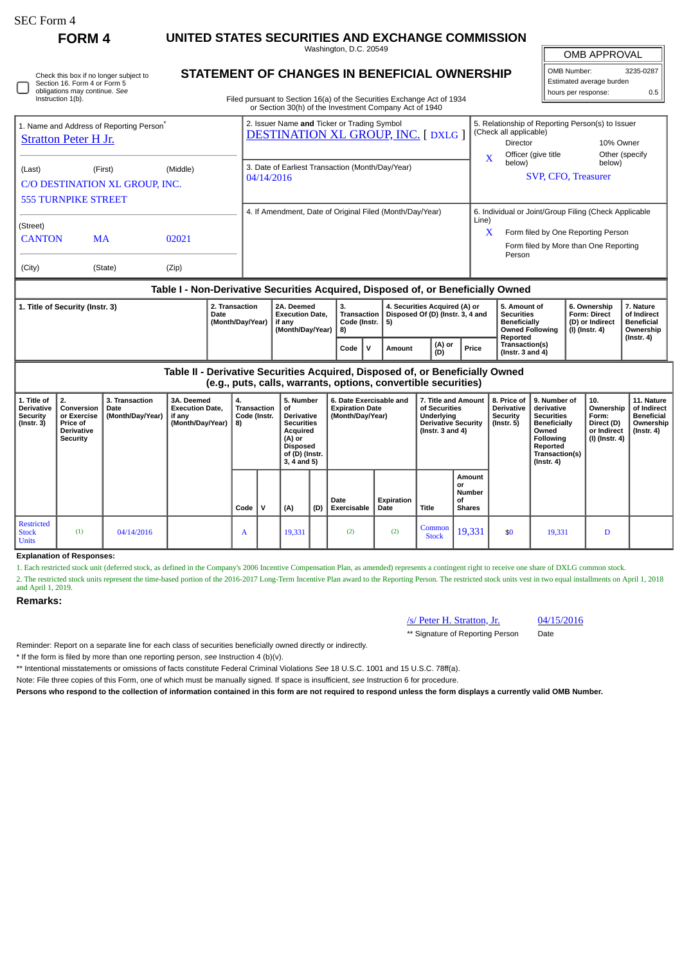П

## **FORM 4 UNITED STATES SECURITIES AND EXCHANGE COMMISSION**

Washington, D.C. 20549

| Check this box if no longer subject to |
|----------------------------------------|
| Section 16. Form 4 or Form 5           |
| obligations may continue. See          |
| Instruction 1(b).                      |

## **STATEMENT OF CHANGES IN BENEFICIAL OWNERSHIP**

Filed pursuant to Section 16(a) of the Securities Exchange Act of 1934 or Section 30(h) of the Investment Company Act of 1940

### OMB APPROVAL OMB Number: 3235-0287 Estimated average burden hours per response: 0.5

|                                                                                                                                                                                |  |  | or occidit objit) or the mycothical company hat or 1940                                 |                                                                                                                                                              |                |
|--------------------------------------------------------------------------------------------------------------------------------------------------------------------------------|--|--|-----------------------------------------------------------------------------------------|--------------------------------------------------------------------------------------------------------------------------------------------------------------|----------------|
| 1. Name and Address of Reporting Person <sup>®</sup><br>Stratton Peter H Jr.                                                                                                   |  |  | 2. Issuer Name and Ticker or Trading Symbol<br><b>DESTINATION XL GROUP, INC. [DXLG]</b> | 5. Relationship of Reporting Person(s) to Issuer<br>(Check all applicable)<br>10% Owner<br><b>Director</b>                                                   |                |
| (Middle)<br>(First)<br>(Last)<br>C/O DESTINATION XL GROUP, INC.<br><b>555 TURNPIKE STREET</b><br>(Street)<br><b>CANTON</b><br>02021<br><b>MA</b><br>(City)<br>(State)<br>(Zip) |  |  | 3. Date of Earliest Transaction (Month/Day/Year)<br>04/14/2016                          | Officer (give title<br>X<br>below)<br>below)<br>SVP, CFO, Treasurer                                                                                          | Other (specify |
|                                                                                                                                                                                |  |  | 4. If Amendment, Date of Original Filed (Month/Day/Year)                                | 6. Individual or Joint/Group Filing (Check Applicable<br>Line)<br>X<br>Form filed by One Reporting Person<br>Form filed by More than One Reporting<br>Person |                |

#### **Table I - Non-Derivative Securities Acquired, Disposed of, or Beneficially Owned**

| 1. Title of Security (Instr. 3) | 2. Transaction<br>Date<br>Month/Dav/Year) | 2A. Deemed<br><b>Execution Date.</b><br>if anv<br>(Month/Dav/Year) | З.<br>Code (Instr.   5)<br>l 8) |  | 4. Securities Acquired (A) or<br>Transaction   Disposed Of (D) (Instr. 3, 4 and |               |       | 5. Amount of<br>Securities<br>Beneficially<br><b>Owned Following</b> | 6. Ownership<br><b>Form: Direct</b><br>l (D) or Indirect<br>  (I) (Instr. 4) | 7. Nature<br>of Indirect<br><b>Beneficial</b><br>Ownership |
|---------------------------------|-------------------------------------------|--------------------------------------------------------------------|---------------------------------|--|---------------------------------------------------------------------------------|---------------|-------|----------------------------------------------------------------------|------------------------------------------------------------------------------|------------------------------------------------------------|
|                                 |                                           |                                                                    | Code                            |  | Amount                                                                          | (A) or<br>(D) | Price | Reported<br>Transaction(s)<br>(Instr. $3$ and $4$ )                  |                                                                              | $($ Instr. 4 $)$                                           |

**Table II - Derivative Securities Acquired, Disposed of, or Beneficially Owned (e.g., puts, calls, warrants, options, convertible securities)**

| 1. Title of<br><b>Derivative</b><br><b>Security</b><br>$($ Instr. 3 $)$ | 2.<br>Conversion<br>or Exercise<br><b>Price of</b><br><b>Derivative</b><br><b>Security</b> | 3. Transaction<br>Date<br>(Month/Day/Year) | 3A. Deemed<br><b>Execution Date.</b><br>if any<br>(Month/Day/Year) | 4.<br>Transaction<br>Code (Instr.<br>8) |   | 5. Number<br>of<br><b>Derivative</b><br><b>Securities</b><br>Acquired<br>(A) or<br><b>Disposed</b><br>of (D) (Instr.<br>$3, 4$ and $5)$ |     | 6. Date Exercisable and<br><b>Expiration Date</b><br>(Month/Day/Year) |                    | 7. Title and Amount<br>of Securities<br>Underlying<br><b>Derivative Security</b><br>(Instr. $3$ and $4$ ) |                                                      | 8. Price of<br><b>Derivative</b><br>Security<br>$($ Instr. 5 $)$ | 9. Number of<br>derivative<br><b>Securities</b><br>Beneficially<br>Owned<br>Following<br>Reported<br>Transaction(s)<br>$($ Instr. 4 $)$ | 10.<br>Ownership<br>Form:<br>Direct (D)<br>or Indirect<br>  (I) (Instr. 4) | 11. Nature<br>of Indirect<br><b>Beneficial</b><br>Ownership<br>(Instr. 4) |
|-------------------------------------------------------------------------|--------------------------------------------------------------------------------------------|--------------------------------------------|--------------------------------------------------------------------|-----------------------------------------|---|-----------------------------------------------------------------------------------------------------------------------------------------|-----|-----------------------------------------------------------------------|--------------------|-----------------------------------------------------------------------------------------------------------|------------------------------------------------------|------------------------------------------------------------------|-----------------------------------------------------------------------------------------------------------------------------------------|----------------------------------------------------------------------------|---------------------------------------------------------------------------|
|                                                                         |                                                                                            |                                            |                                                                    | Code                                    | v | (A)                                                                                                                                     | (D) | Date<br>Exercisable                                                   | Expiration<br>Date | Title                                                                                                     | <b>Amount</b><br>or<br>Number<br>οf<br><b>Shares</b> |                                                                  |                                                                                                                                         |                                                                            |                                                                           |
| <b>Restricted</b><br><b>Stock</b><br><b>Units</b>                       | (1)                                                                                        | 04/14/2016                                 |                                                                    | A                                       |   | 19,331                                                                                                                                  |     | (2)                                                                   | (2)                | Common<br><b>Stock</b>                                                                                    | 19,331                                               | \$0                                                              | 19,331                                                                                                                                  | D                                                                          |                                                                           |

**Explanation of Responses:**

1. Each restricted stock unit (deferred stock, as defined in the Company's 2006 Incentive Compensation Plan, as amended) represents a contingent right to receive one share of DXLG common stock.

2. The restricted stock units represent the time-based portion of the 2016-2017 Long-Term Incentive Plan award to the Reporting Person. The restricted stock units vest in two equal installments on April 1, 2018 and April 1, 2019.

#### **Remarks:**

# /s/ Peter H. Stratton, Jr. 04/15/2016

\*\* Signature of Reporting Person Date

Reminder: Report on a separate line for each class of securities beneficially owned directly or indirectly.

\* If the form is filed by more than one reporting person, *see* Instruction 4 (b)(v).

\*\* Intentional misstatements or omissions of facts constitute Federal Criminal Violations *See* 18 U.S.C. 1001 and 15 U.S.C. 78ff(a).

Note: File three copies of this Form, one of which must be manually signed. If space is insufficient, *see* Instruction 6 for procedure.

**Persons who respond to the collection of information contained in this form are not required to respond unless the form displays a currently valid OMB Number.**